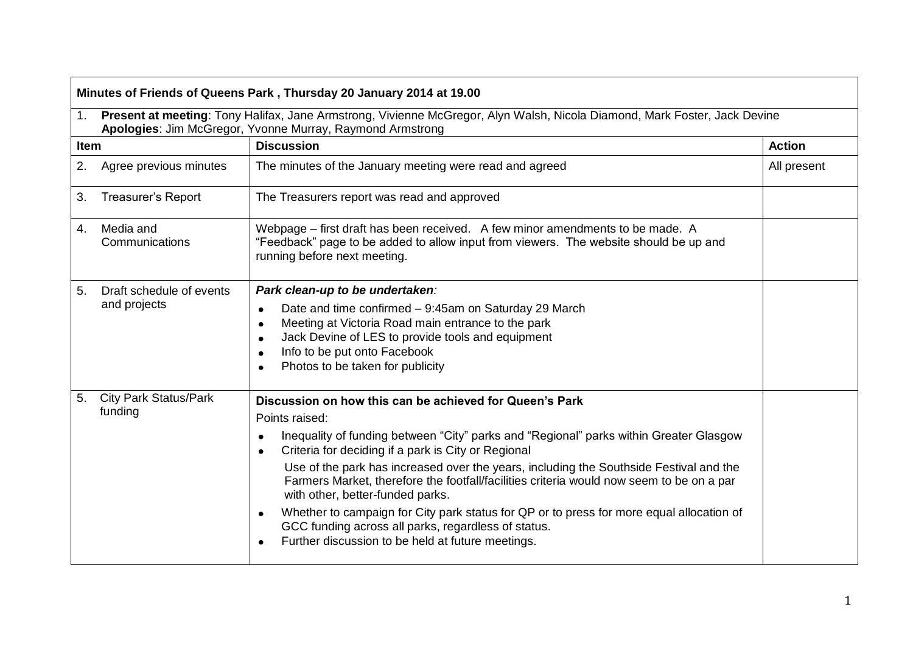| 1 <sub>1</sub> | Present at meeting: Tony Halifax, Jane Armstrong, Vivienne McGregor, Alyn Walsh, Nicola Diamond, Mark Foster, Jack Devine<br>Apologies: Jim McGregor, Yvonne Murray, Raymond Armstrong |                                                                                                                                                                                                                                                                                                                                                                                                                                                                                                                                                                                                                                                                           |               |  |  |
|----------------|----------------------------------------------------------------------------------------------------------------------------------------------------------------------------------------|---------------------------------------------------------------------------------------------------------------------------------------------------------------------------------------------------------------------------------------------------------------------------------------------------------------------------------------------------------------------------------------------------------------------------------------------------------------------------------------------------------------------------------------------------------------------------------------------------------------------------------------------------------------------------|---------------|--|--|
| Item           |                                                                                                                                                                                        | <b>Discussion</b>                                                                                                                                                                                                                                                                                                                                                                                                                                                                                                                                                                                                                                                         | <b>Action</b> |  |  |
| 2.             | Agree previous minutes                                                                                                                                                                 | The minutes of the January meeting were read and agreed                                                                                                                                                                                                                                                                                                                                                                                                                                                                                                                                                                                                                   | All present   |  |  |
| 3.             | <b>Treasurer's Report</b>                                                                                                                                                              | The Treasurers report was read and approved                                                                                                                                                                                                                                                                                                                                                                                                                                                                                                                                                                                                                               |               |  |  |
| 4.             | Media and<br>Communications                                                                                                                                                            | Webpage – first draft has been received. A few minor amendments to be made. A<br>"Feedback" page to be added to allow input from viewers. The website should be up and<br>running before next meeting.                                                                                                                                                                                                                                                                                                                                                                                                                                                                    |               |  |  |
| 5.             | Draft schedule of events<br>and projects                                                                                                                                               | Park clean-up to be undertaken:<br>Date and time confirmed - 9:45am on Saturday 29 March<br>$\bullet$<br>Meeting at Victoria Road main entrance to the park<br>$\bullet$<br>Jack Devine of LES to provide tools and equipment<br>$\bullet$<br>Info to be put onto Facebook<br>$\bullet$<br>Photos to be taken for publicity                                                                                                                                                                                                                                                                                                                                               |               |  |  |
| 5.             | <b>City Park Status/Park</b><br>funding                                                                                                                                                | Discussion on how this can be achieved for Queen's Park<br>Points raised:<br>Inequality of funding between "City" parks and "Regional" parks within Greater Glasgow<br>$\bullet$<br>Criteria for deciding if a park is City or Regional<br>Use of the park has increased over the years, including the Southside Festival and the<br>Farmers Market, therefore the footfall/facilities criteria would now seem to be on a par<br>with other, better-funded parks.<br>Whether to campaign for City park status for QP or to press for more equal allocation of<br>GCC funding across all parks, regardless of status.<br>Further discussion to be held at future meetings. |               |  |  |